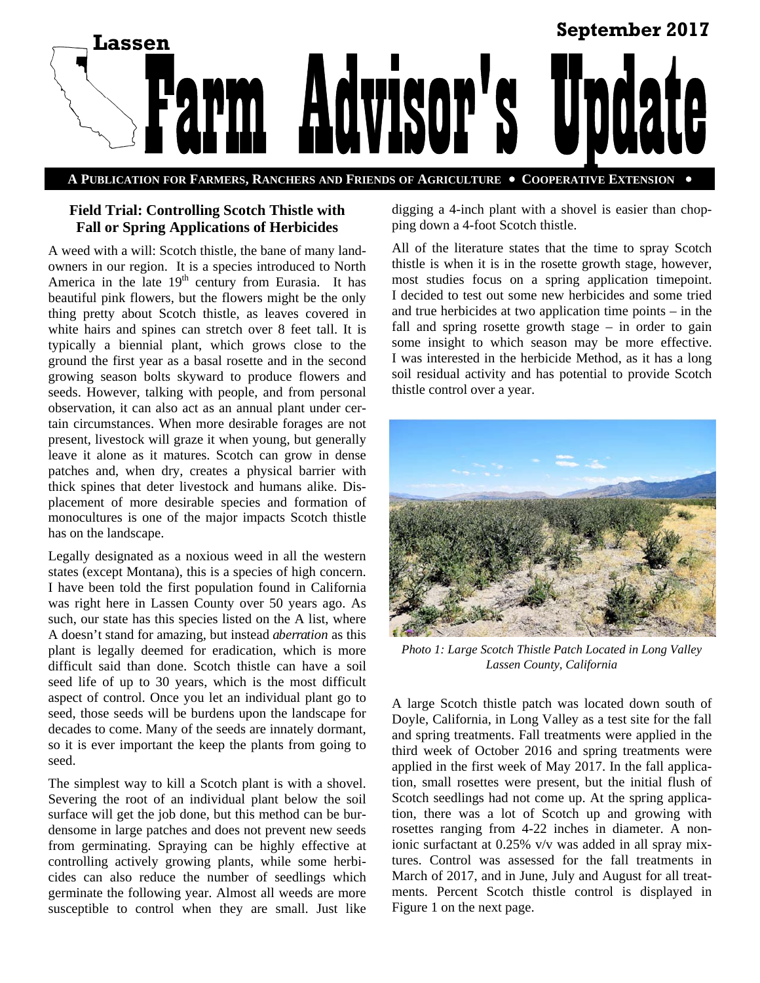

**A PUBLICATION FOR FARMERS, RANCHERS AND FRIENDS OF AGRICULTURE COOPERATIVE EXTENSION** 

# **Field Trial: Controlling Scotch Thistle with Fall or Spring Applications of Herbicides**

A weed with a will: Scotch thistle, the bane of many landowners in our region. It is a species introduced to North America in the late  $19<sup>th</sup>$  century from Eurasia. It has beautiful pink flowers, but the flowers might be the only thing pretty about Scotch thistle, as leaves covered in white hairs and spines can stretch over 8 feet tall. It is typically a biennial plant, which grows close to the ground the first year as a basal rosette and in the second growing season bolts skyward to produce flowers and seeds. However, talking with people, and from personal observation, it can also act as an annual plant under certain circumstances. When more desirable forages are not present, livestock will graze it when young, but generally leave it alone as it matures. Scotch can grow in dense patches and, when dry, creates a physical barrier with thick spines that deter livestock and humans alike. Displacement of more desirable species and formation of monocultures is one of the major impacts Scotch thistle has on the landscape.

Legally designated as a noxious weed in all the western states (except Montana), this is a species of high concern. I have been told the first population found in California was right here in Lassen County over 50 years ago. As such, our state has this species listed on the A list, where A doesn't stand for amazing, but instead *aberration* as this plant is legally deemed for eradication, which is more difficult said than done. Scotch thistle can have a soil seed life of up to 30 years, which is the most difficult aspect of control. Once you let an individual plant go to seed, those seeds will be burdens upon the landscape for decades to come. Many of the seeds are innately dormant, so it is ever important the keep the plants from going to seed.

The simplest way to kill a Scotch plant is with a shovel. Severing the root of an individual plant below the soil surface will get the job done, but this method can be burdensome in large patches and does not prevent new seeds from germinating. Spraying can be highly effective at controlling actively growing plants, while some herbicides can also reduce the number of seedlings which germinate the following year. Almost all weeds are more susceptible to control when they are small. Just like

digging a 4-inch plant with a shovel is easier than chopping down a 4-foot Scotch thistle.

All of the literature states that the time to spray Scotch thistle is when it is in the rosette growth stage, however, most studies focus on a spring application timepoint. I decided to test out some new herbicides and some tried and true herbicides at two application time points – in the fall and spring rosette growth stage – in order to gain some insight to which season may be more effective. I was interested in the herbicide Method, as it has a long soil residual activity and has potential to provide Scotch thistle control over a year.



*Photo 1: Large Scotch Thistle Patch Located in Long Valley Lassen County, California* 

A large Scotch thistle patch was located down south of Doyle, California, in Long Valley as a test site for the fall and spring treatments. Fall treatments were applied in the third week of October 2016 and spring treatments were applied in the first week of May 2017. In the fall application, small rosettes were present, but the initial flush of Scotch seedlings had not come up. At the spring application, there was a lot of Scotch up and growing with rosettes ranging from 4-22 inches in diameter. A nonionic surfactant at 0.25% v/v was added in all spray mixtures. Control was assessed for the fall treatments in March of 2017, and in June, July and August for all treatments. Percent Scotch thistle control is displayed in Figure 1 on the next page.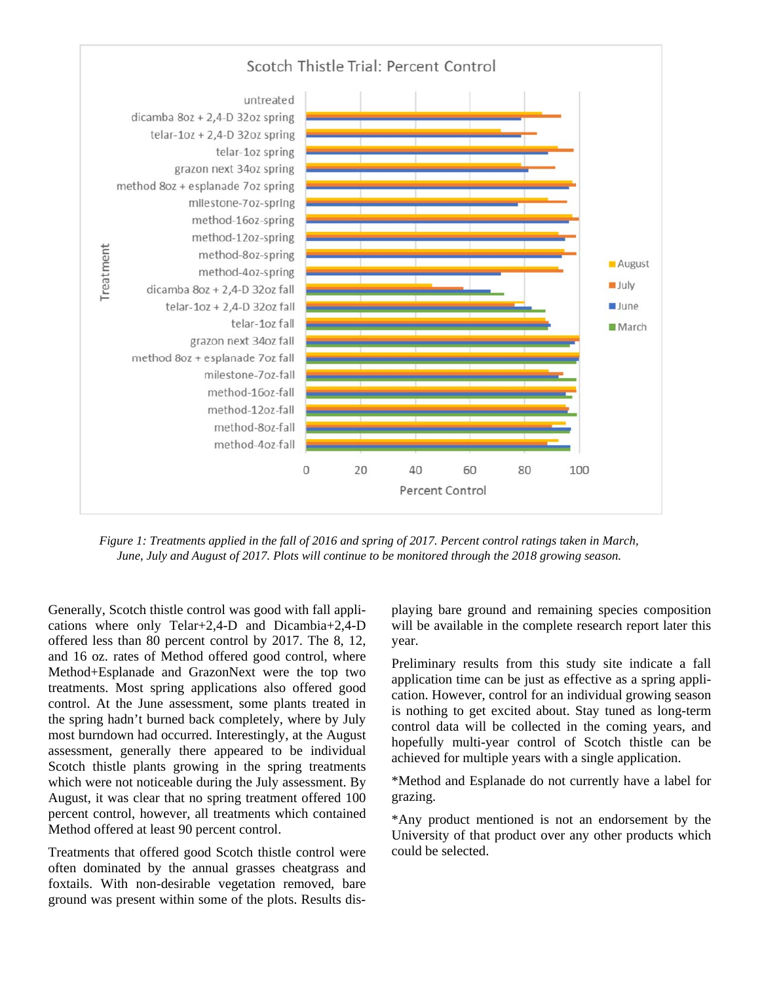

*Figure 1: Treatments applied in the fall of 2016 and spring of 2017. Percent control ratings taken in March, June, July and August of 2017. Plots will continue to be monitored through the 2018 growing season.* 

Generally, Scotch thistle control was good with fall applications where only Telar+2,4-D and Dicambia+2,4-D offered less than 80 percent control by 2017. The 8, 12, and 16 oz. rates of Method offered good control, where Method+Esplanade and GrazonNext were the top two treatments. Most spring applications also offered good control. At the June assessment, some plants treated in the spring hadn't burned back completely, where by July most burndown had occurred. Interestingly, at the August assessment, generally there appeared to be individual Scotch thistle plants growing in the spring treatments which were not noticeable during the July assessment. By August, it was clear that no spring treatment offered 100 percent control, however, all treatments which contained Method offered at least 90 percent control.

Treatments that offered good Scotch thistle control were often dominated by the annual grasses cheatgrass and foxtails. With non-desirable vegetation removed, bare ground was present within some of the plots. Results displaying bare ground and remaining species composition will be available in the complete research report later this year.

Preliminary results from this study site indicate a fall application time can be just as effective as a spring application. However, control for an individual growing season is nothing to get excited about. Stay tuned as long-term control data will be collected in the coming years, and hopefully multi-year control of Scotch thistle can be achieved for multiple years with a single application.

\*Method and Esplanade do not currently have a label for grazing.

\*Any product mentioned is not an endorsement by the University of that product over any other products which could be selected.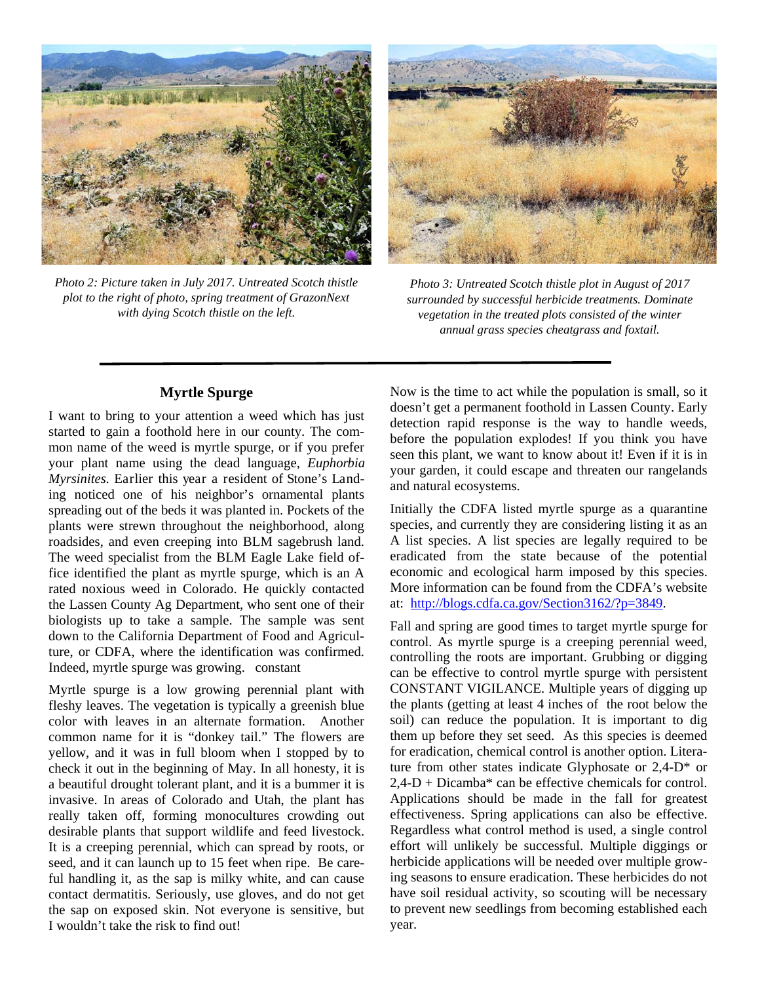

*Photo 2: Picture taken in July 2017. Untreated Scotch thistle plot to the right of photo, spring treatment of GrazonNext with dying Scotch thistle on the left.* 



*Photo 3: Untreated Scotch thistle plot in August of 2017 surrounded by successful herbicide treatments. Dominate vegetation in the treated plots consisted of the winter annual grass species cheatgrass and foxtail.* 

#### **Myrtle Spurge**

I want to bring to your attention a weed which has just started to gain a foothold here in our county. The common name of the weed is myrtle spurge, or if you prefer your plant name using the dead language, *Euphorbia Myrsinites.* Earlier this year a resident of Stone's Landing noticed one of his neighbor's ornamental plants spreading out of the beds it was planted in. Pockets of the plants were strewn throughout the neighborhood, along roadsides, and even creeping into BLM sagebrush land. The weed specialist from the BLM Eagle Lake field office identified the plant as myrtle spurge, which is an A rated noxious weed in Colorado. He quickly contacted the Lassen County Ag Department, who sent one of their biologists up to take a sample. The sample was sent down to the California Department of Food and Agriculture, or CDFA, where the identification was confirmed. Indeed, myrtle spurge was growing. constant

Myrtle spurge is a low growing perennial plant with fleshy leaves. The vegetation is typically a greenish blue color with leaves in an alternate formation. Another common name for it is "donkey tail." The flowers are yellow, and it was in full bloom when I stopped by to check it out in the beginning of May. In all honesty, it is a beautiful drought tolerant plant, and it is a bummer it is invasive. In areas of Colorado and Utah, the plant has really taken off, forming monocultures crowding out desirable plants that support wildlife and feed livestock. It is a creeping perennial, which can spread by roots, or seed, and it can launch up to 15 feet when ripe. Be careful handling it, as the sap is milky white, and can cause contact dermatitis. Seriously, use gloves, and do not get the sap on exposed skin. Not everyone is sensitive, but I wouldn't take the risk to find out!

Now is the time to act while the population is small, so it doesn't get a permanent foothold in Lassen County. Early detection rapid response is the way to handle weeds, before the population explodes! If you think you have seen this plant, we want to know about it! Even if it is in your garden, it could escape and threaten our rangelands and natural ecosystems.

Initially the CDFA listed myrtle spurge as a quarantine species, and currently they are considering listing it as an A list species. A list species are legally required to be eradicated from the state because of the potential economic and ecological harm imposed by this species. More information can be found from the CDFA's website at: http://blogs.cdfa.ca.gov/Section3162/?p=3849.

Fall and spring are good times to target myrtle spurge for control. As myrtle spurge is a creeping perennial weed, controlling the roots are important. Grubbing or digging can be effective to control myrtle spurge with persistent CONSTANT VIGILANCE. Multiple years of digging up the plants (getting at least 4 inches of the root below the soil) can reduce the population. It is important to dig them up before they set seed. As this species is deemed for eradication, chemical control is another option. Literature from other states indicate Glyphosate or 2,4-D\* or 2,4-D + Dicamba\* can be effective chemicals for control. Applications should be made in the fall for greatest effectiveness. Spring applications can also be effective. Regardless what control method is used, a single control effort will unlikely be successful. Multiple diggings or herbicide applications will be needed over multiple growing seasons to ensure eradication. These herbicides do not have soil residual activity, so scouting will be necessary to prevent new seedlings from becoming established each year.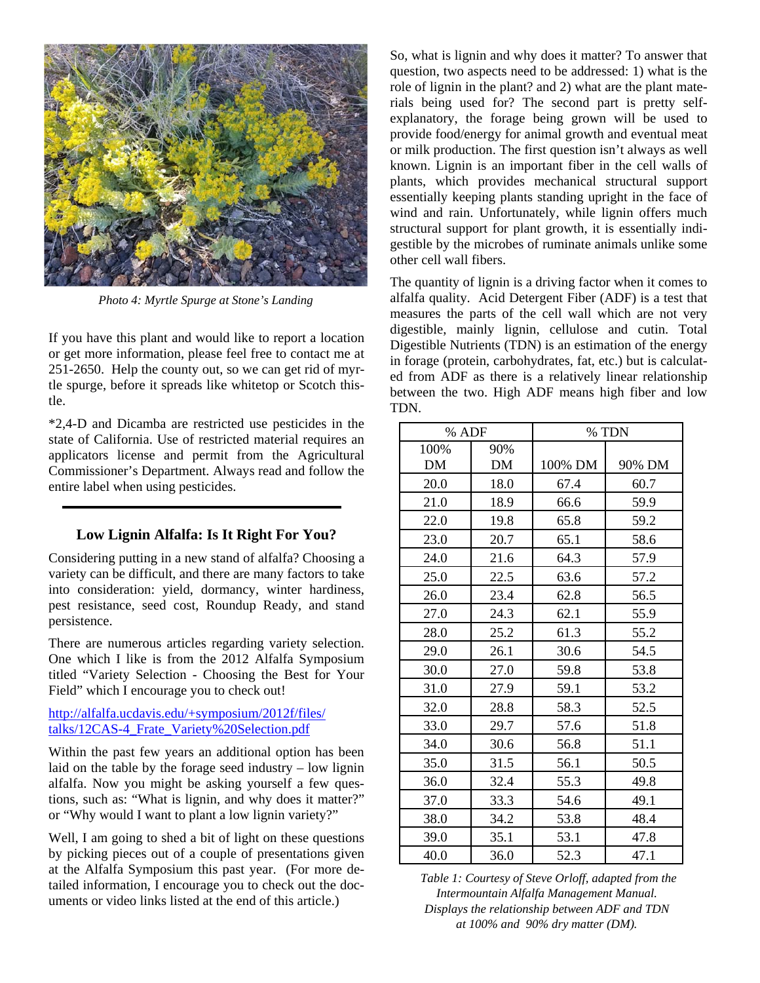

*Photo 4: Myrtle Spurge at Stone's Landing* 

If you have this plant and would like to report a location or get more information, please feel free to contact me at 251-2650. Help the county out, so we can get rid of myrtle spurge, before it spreads like whitetop or Scotch thistle.

\*2,4-D and Dicamba are restricted use pesticides in the state of California. Use of restricted material requires an applicators license and permit from the Agricultural Commissioner's Department. Always read and follow the entire label when using pesticides.

## **Low Lignin Alfalfa: Is It Right For You?**

Considering putting in a new stand of alfalfa? Choosing a variety can be difficult, and there are many factors to take into consideration: yield, dormancy, winter hardiness, pest resistance, seed cost, Roundup Ready, and stand persistence.

There are numerous articles regarding variety selection. One which I like is from the 2012 Alfalfa Symposium titled "Variety Selection - Choosing the Best for Your Field" which I encourage you to check out!

#### http://alfalfa.ucdavis.edu/+symposium/2012f/files/ talks/12CAS-4 Frate\_Variety%20Selection.pdf

Within the past few years an additional option has been laid on the table by the forage seed industry – low lignin alfalfa. Now you might be asking yourself a few questions, such as: "What is lignin, and why does it matter?" or "Why would I want to plant a low lignin variety?"

Well, I am going to shed a bit of light on these questions by picking pieces out of a couple of presentations given at the Alfalfa Symposium this past year. (For more detailed information, I encourage you to check out the documents or video links listed at the end of this article.)

So, what is lignin and why does it matter? To answer that question, two aspects need to be addressed: 1) what is the role of lignin in the plant? and 2) what are the plant materials being used for? The second part is pretty selfexplanatory, the forage being grown will be used to provide food/energy for animal growth and eventual meat or milk production. The first question isn't always as well known. Lignin is an important fiber in the cell walls of plants, which provides mechanical structural support essentially keeping plants standing upright in the face of wind and rain. Unfortunately, while lignin offers much structural support for plant growth, it is essentially indigestible by the microbes of ruminate animals unlike some other cell wall fibers.

The quantity of lignin is a driving factor when it comes to alfalfa quality. Acid Detergent Fiber (ADF) is a test that measures the parts of the cell wall which are not very digestible, mainly lignin, cellulose and cutin. Total Digestible Nutrients (TDN) is an estimation of the energy in forage (protein, carbohydrates, fat, etc.) but is calculated from ADF as there is a relatively linear relationship between the two. High ADF means high fiber and low TDN.

| $%$ ADF            |           | % TDN   |        |
|--------------------|-----------|---------|--------|
| 100%<br>${\rm DM}$ | 90%<br>DM | 100% DM | 90% DM |
| 20.0               | 18.0      | 67.4    | 60.7   |
| 21.0               | 18.9      | 66.6    | 59.9   |
| 22.0               | 19.8      | 65.8    | 59.2   |
| 23.0               | 20.7      | 65.1    | 58.6   |
| 24.0               | 21.6      | 64.3    | 57.9   |
| 25.0               | 22.5      | 63.6    | 57.2   |
| 26.0               | 23.4      | 62.8    | 56.5   |
| 27.0               | 24.3      | 62.1    | 55.9   |
| 28.0               | 25.2      | 61.3    | 55.2   |
| 29.0               | 26.1      | 30.6    | 54.5   |
| 30.0               | 27.0      | 59.8    | 53.8   |
| 31.0               | 27.9      | 59.1    | 53.2   |
| 32.0               | 28.8      | 58.3    | 52.5   |
| 33.0               | 29.7      | 57.6    | 51.8   |
| 34.0               | 30.6      | 56.8    | 51.1   |
| 35.0               | 31.5      | 56.1    | 50.5   |
| 36.0               | 32.4      | 55.3    | 49.8   |
| 37.0               | 33.3      | 54.6    | 49.1   |
| 38.0               | 34.2      | 53.8    | 48.4   |
| 39.0               | 35.1      | 53.1    | 47.8   |
| 40.0               | 36.0      | 52.3    | 47.1   |

*Table 1: Courtesy of Steve Orloff, adapted from the Intermountain Alfalfa Management Manual. Displays the relationship between ADF and TDN at 100% and 90% dry matter (DM).*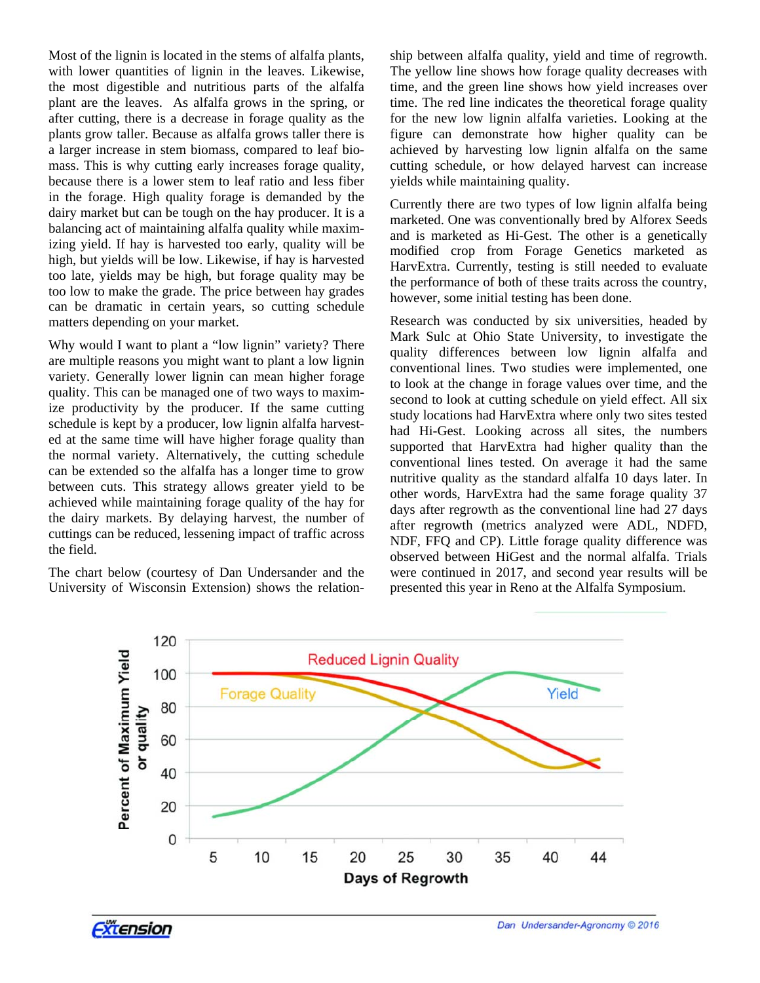Most of the lignin is located in the stems of alfalfa plants, with lower quantities of lignin in the leaves. Likewise, the most digestible and nutritious parts of the alfalfa plant are the leaves. As alfalfa grows in the spring, or after cutting, there is a decrease in forage quality as the plants grow taller. Because as alfalfa grows taller there is a larger increase in stem biomass, compared to leaf biomass. This is why cutting early increases forage quality, because there is a lower stem to leaf ratio and less fiber in the forage. High quality forage is demanded by the dairy market but can be tough on the hay producer. It is a balancing act of maintaining alfalfa quality while maximizing yield. If hay is harvested too early, quality will be high, but yields will be low. Likewise, if hay is harvested too late, yields may be high, but forage quality may be too low to make the grade. The price between hay grades can be dramatic in certain years, so cutting schedule matters depending on your market.

Why would I want to plant a "low lignin" variety? There are multiple reasons you might want to plant a low lignin variety. Generally lower lignin can mean higher forage quality. This can be managed one of two ways to maximize productivity by the producer. If the same cutting schedule is kept by a producer, low lignin alfalfa harvested at the same time will have higher forage quality than the normal variety. Alternatively, the cutting schedule can be extended so the alfalfa has a longer time to grow between cuts. This strategy allows greater yield to be achieved while maintaining forage quality of the hay for the dairy markets. By delaying harvest, the number of cuttings can be reduced, lessening impact of traffic across the field.

The chart below (courtesy of Dan Undersander and the University of Wisconsin Extension) shows the relationship between alfalfa quality, yield and time of regrowth. The yellow line shows how forage quality decreases with time, and the green line shows how yield increases over time. The red line indicates the theoretical forage quality for the new low lignin alfalfa varieties. Looking at the figure can demonstrate how higher quality can be achieved by harvesting low lignin alfalfa on the same cutting schedule, or how delayed harvest can increase yields while maintaining quality.

Currently there are two types of low lignin alfalfa being marketed. One was conventionally bred by Alforex Seeds and is marketed as Hi-Gest. The other is a genetically modified crop from Forage Genetics marketed as HarvExtra. Currently, testing is still needed to evaluate the performance of both of these traits across the country, however, some initial testing has been done.

Research was conducted by six universities, headed by Mark Sulc at Ohio State University, to investigate the quality differences between low lignin alfalfa and conventional lines. Two studies were implemented, one to look at the change in forage values over time, and the second to look at cutting schedule on yield effect. All six study locations had HarvExtra where only two sites tested had Hi-Gest. Looking across all sites, the numbers supported that HarvExtra had higher quality than the conventional lines tested. On average it had the same nutritive quality as the standard alfalfa 10 days later. In other words, HarvExtra had the same forage quality 37 days after regrowth as the conventional line had 27 days after regrowth (metrics analyzed were ADL, NDFD, NDF, FFQ and CP). Little forage quality difference was observed between HiGest and the normal alfalfa. Trials were continued in 2017, and second year results will be presented this year in Reno at the Alfalfa Symposium.